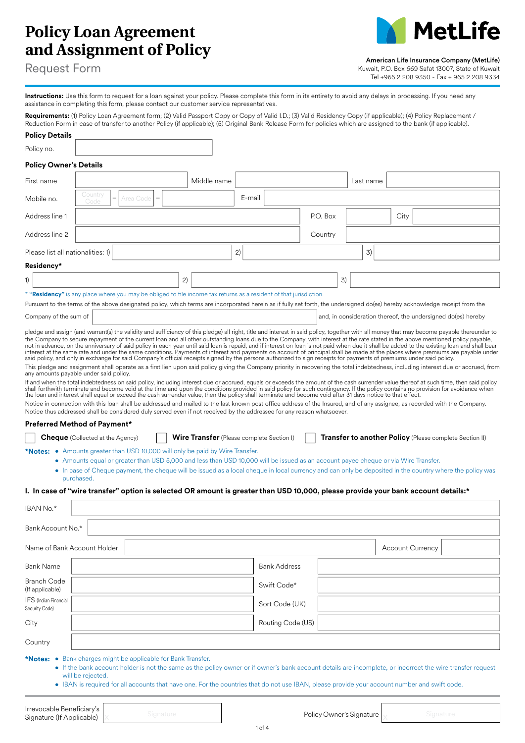# **Policy Loan Agreement and Assignment of Policy**



# American Life Insurance Company (MetLife)

Request Form

Kuwait, P.O. Box 669 Safat 13007, State of Kuwait Tel +965 2 208 9350 - Fax + 965 2 208 9334

**Instructions:** Use this form to request for a loan against your policy. Please complete this form in its entirety to avoid any delays in processing. If you need any assistance in completing this form, please contact our customer service representatives.

Requirements: (1) Policy Loan Agreement form; (2) Valid Passport Copy or Copy of Valid I.D.; (3) Valid Residency Copy (if applicable); (4) Policy Replacement / Reduction Form in case of transfer to another Policy (if applicable); (5) Original Bank Release Form for policies which are assigned to the bank (if applicable).

| <b>Policy Details</b>                                                                                                                                                                                                                                                                                                                                                                                                                                                                                                                                                                                                                                                                                                                                                                                                                                                                                                                                                                                                                                                                                                                                                                                                                                                                                                                                                                                                                                                                                                                                                                                                                                                                                                                                                                                                                                                                                                                                                                                                                                                                                             |                                                                                                                                                                                             |           |    |                                                  |        |                     |                   |          |    |           |      |                         |                                                                                                                                                                                                                     |  |
|-------------------------------------------------------------------------------------------------------------------------------------------------------------------------------------------------------------------------------------------------------------------------------------------------------------------------------------------------------------------------------------------------------------------------------------------------------------------------------------------------------------------------------------------------------------------------------------------------------------------------------------------------------------------------------------------------------------------------------------------------------------------------------------------------------------------------------------------------------------------------------------------------------------------------------------------------------------------------------------------------------------------------------------------------------------------------------------------------------------------------------------------------------------------------------------------------------------------------------------------------------------------------------------------------------------------------------------------------------------------------------------------------------------------------------------------------------------------------------------------------------------------------------------------------------------------------------------------------------------------------------------------------------------------------------------------------------------------------------------------------------------------------------------------------------------------------------------------------------------------------------------------------------------------------------------------------------------------------------------------------------------------------------------------------------------------------------------------------------------------|---------------------------------------------------------------------------------------------------------------------------------------------------------------------------------------------|-----------|----|--------------------------------------------------|--------|---------------------|-------------------|----------|----|-----------|------|-------------------------|---------------------------------------------------------------------------------------------------------------------------------------------------------------------------------------------------------------------|--|
| Policy no.                                                                                                                                                                                                                                                                                                                                                                                                                                                                                                                                                                                                                                                                                                                                                                                                                                                                                                                                                                                                                                                                                                                                                                                                                                                                                                                                                                                                                                                                                                                                                                                                                                                                                                                                                                                                                                                                                                                                                                                                                                                                                                        |                                                                                                                                                                                             |           |    |                                                  |        |                     |                   |          |    |           |      |                         |                                                                                                                                                                                                                     |  |
| <b>Policy Owner's Details</b>                                                                                                                                                                                                                                                                                                                                                                                                                                                                                                                                                                                                                                                                                                                                                                                                                                                                                                                                                                                                                                                                                                                                                                                                                                                                                                                                                                                                                                                                                                                                                                                                                                                                                                                                                                                                                                                                                                                                                                                                                                                                                     |                                                                                                                                                                                             |           |    |                                                  |        |                     |                   |          |    |           |      |                         |                                                                                                                                                                                                                     |  |
| First name                                                                                                                                                                                                                                                                                                                                                                                                                                                                                                                                                                                                                                                                                                                                                                                                                                                                                                                                                                                                                                                                                                                                                                                                                                                                                                                                                                                                                                                                                                                                                                                                                                                                                                                                                                                                                                                                                                                                                                                                                                                                                                        |                                                                                                                                                                                             |           |    | Middle name                                      |        |                     |                   |          |    | Last name |      |                         |                                                                                                                                                                                                                     |  |
| Mobile no.                                                                                                                                                                                                                                                                                                                                                                                                                                                                                                                                                                                                                                                                                                                                                                                                                                                                                                                                                                                                                                                                                                                                                                                                                                                                                                                                                                                                                                                                                                                                                                                                                                                                                                                                                                                                                                                                                                                                                                                                                                                                                                        | Country<br>Code                                                                                                                                                                             | Area Code |    |                                                  | E-mail |                     |                   |          |    |           |      |                         |                                                                                                                                                                                                                     |  |
| Address line 1                                                                                                                                                                                                                                                                                                                                                                                                                                                                                                                                                                                                                                                                                                                                                                                                                                                                                                                                                                                                                                                                                                                                                                                                                                                                                                                                                                                                                                                                                                                                                                                                                                                                                                                                                                                                                                                                                                                                                                                                                                                                                                    |                                                                                                                                                                                             |           |    |                                                  |        |                     |                   | P.O. Box |    |           | City |                         |                                                                                                                                                                                                                     |  |
| Address line 2                                                                                                                                                                                                                                                                                                                                                                                                                                                                                                                                                                                                                                                                                                                                                                                                                                                                                                                                                                                                                                                                                                                                                                                                                                                                                                                                                                                                                                                                                                                                                                                                                                                                                                                                                                                                                                                                                                                                                                                                                                                                                                    |                                                                                                                                                                                             |           |    |                                                  |        |                     |                   | Country  |    |           |      |                         |                                                                                                                                                                                                                     |  |
| Please list all nationalities: 1)                                                                                                                                                                                                                                                                                                                                                                                                                                                                                                                                                                                                                                                                                                                                                                                                                                                                                                                                                                                                                                                                                                                                                                                                                                                                                                                                                                                                                                                                                                                                                                                                                                                                                                                                                                                                                                                                                                                                                                                                                                                                                 |                                                                                                                                                                                             |           |    |                                                  | 2)     |                     |                   |          |    | 3)        |      |                         |                                                                                                                                                                                                                     |  |
| Residency*                                                                                                                                                                                                                                                                                                                                                                                                                                                                                                                                                                                                                                                                                                                                                                                                                                                                                                                                                                                                                                                                                                                                                                                                                                                                                                                                                                                                                                                                                                                                                                                                                                                                                                                                                                                                                                                                                                                                                                                                                                                                                                        |                                                                                                                                                                                             |           |    |                                                  |        |                     |                   |          |    |           |      |                         |                                                                                                                                                                                                                     |  |
| 1)                                                                                                                                                                                                                                                                                                                                                                                                                                                                                                                                                                                                                                                                                                                                                                                                                                                                                                                                                                                                                                                                                                                                                                                                                                                                                                                                                                                                                                                                                                                                                                                                                                                                                                                                                                                                                                                                                                                                                                                                                                                                                                                |                                                                                                                                                                                             |           | 2) |                                                  |        |                     |                   |          | 3) |           |      |                         |                                                                                                                                                                                                                     |  |
| * "Residency" is any place where you may be obliged to file income tax returns as a resident of that jurisdiction.                                                                                                                                                                                                                                                                                                                                                                                                                                                                                                                                                                                                                                                                                                                                                                                                                                                                                                                                                                                                                                                                                                                                                                                                                                                                                                                                                                                                                                                                                                                                                                                                                                                                                                                                                                                                                                                                                                                                                                                                |                                                                                                                                                                                             |           |    |                                                  |        |                     |                   |          |    |           |      |                         |                                                                                                                                                                                                                     |  |
| Pursuant to the terms of the above designated policy, which terms are incorporated herein as if fully set forth, the undersigned do(es) hereby acknowledge receipt from the                                                                                                                                                                                                                                                                                                                                                                                                                                                                                                                                                                                                                                                                                                                                                                                                                                                                                                                                                                                                                                                                                                                                                                                                                                                                                                                                                                                                                                                                                                                                                                                                                                                                                                                                                                                                                                                                                                                                       |                                                                                                                                                                                             |           |    |                                                  |        |                     |                   |          |    |           |      |                         |                                                                                                                                                                                                                     |  |
| Company of the sum of                                                                                                                                                                                                                                                                                                                                                                                                                                                                                                                                                                                                                                                                                                                                                                                                                                                                                                                                                                                                                                                                                                                                                                                                                                                                                                                                                                                                                                                                                                                                                                                                                                                                                                                                                                                                                                                                                                                                                                                                                                                                                             |                                                                                                                                                                                             |           |    |                                                  |        |                     |                   |          |    |           |      |                         | and, in consideration thereof, the undersigned do(es) hereby                                                                                                                                                        |  |
| the Company to secure repayment of the current loan and all other outstanding loans due to the Company, with interest at the rate stated in the above mentioned policy payable,<br>not in advance, on the anniversary of said policy in each year until said loan is repaid, and if interest on loan is not paid when due it shall be added to the existing loan and shall bear<br>interest at the same rate and under the same conditions. Payments of interest and payments on account of principal shall be made at the places where premiums are payable under<br>said policy, and only in exchange for said Company's official receipts signed by the persons authorized to sign receipts for payments of premiums under said policy.<br>This pledge and assignment shall operate as a first lien upon said policy giving the Company priority in recovering the total indebtedness, including interest due or accrued, from<br>any amounts payable under said policy.<br>If and when the total indebtedness on said policy, including interest due or accrued, equals or exceeds the amount of the cash surrender value thereof at such time, then said policy<br>shall forthwith terminate and become void at the time and upon the conditions provided in said policy for such contingency. If the policy contains no provision for avoidance when<br>the loan and interest shall equal or exceed the cash surrender value, then the policy shall terminate and become void after 31 days notice to that effect.<br>Notice in connection with this loan shall be addressed and mailed to the last known post office address of the Insured, and of any assignee, as recorded with the Company.<br>Notice thus addressed shall be considered duly served even if not received by the addressee for any reason whatsoever.<br><b>Preferred Method of Payment*</b><br><b>*Notes:</b> • Amounts greater than USD 10,000 will only be paid by Wire Transfer.<br>I. In case of "wire transfer" option is selected OR amount is greater than USD 10,000, please provide your bank account details:*<br>IBAN No.* | <b>Cheque</b> (Collected at the Agency)<br>• Amounts equal or greater than USD 5,000 and less than USD 10,000 will be issued as an account payee cheque or via Wire Transfer.<br>purchased. |           |    | <b>Wire Transfer</b> (Please complete Section I) |        |                     |                   |          |    |           |      |                         | Transfer to another Policy (Please complete Section II)<br>• In case of Cheque payment, the cheque will be issued as a local cheque in local currency and can only be deposited in the country where the policy was |  |
|                                                                                                                                                                                                                                                                                                                                                                                                                                                                                                                                                                                                                                                                                                                                                                                                                                                                                                                                                                                                                                                                                                                                                                                                                                                                                                                                                                                                                                                                                                                                                                                                                                                                                                                                                                                                                                                                                                                                                                                                                                                                                                                   |                                                                                                                                                                                             |           |    |                                                  |        |                     |                   |          |    |           |      |                         |                                                                                                                                                                                                                     |  |
| Bank Account No.*                                                                                                                                                                                                                                                                                                                                                                                                                                                                                                                                                                                                                                                                                                                                                                                                                                                                                                                                                                                                                                                                                                                                                                                                                                                                                                                                                                                                                                                                                                                                                                                                                                                                                                                                                                                                                                                                                                                                                                                                                                                                                                 |                                                                                                                                                                                             |           |    |                                                  |        |                     |                   |          |    |           |      |                         |                                                                                                                                                                                                                     |  |
| Name of Bank Account Holder                                                                                                                                                                                                                                                                                                                                                                                                                                                                                                                                                                                                                                                                                                                                                                                                                                                                                                                                                                                                                                                                                                                                                                                                                                                                                                                                                                                                                                                                                                                                                                                                                                                                                                                                                                                                                                                                                                                                                                                                                                                                                       |                                                                                                                                                                                             |           |    |                                                  |        |                     |                   |          |    |           |      | <b>Account Currency</b> |                                                                                                                                                                                                                     |  |
| <b>Bank Name</b>                                                                                                                                                                                                                                                                                                                                                                                                                                                                                                                                                                                                                                                                                                                                                                                                                                                                                                                                                                                                                                                                                                                                                                                                                                                                                                                                                                                                                                                                                                                                                                                                                                                                                                                                                                                                                                                                                                                                                                                                                                                                                                  |                                                                                                                                                                                             |           |    |                                                  |        | <b>Bank Address</b> |                   |          |    |           |      |                         |                                                                                                                                                                                                                     |  |
| Branch Code<br>(If applicable)                                                                                                                                                                                                                                                                                                                                                                                                                                                                                                                                                                                                                                                                                                                                                                                                                                                                                                                                                                                                                                                                                                                                                                                                                                                                                                                                                                                                                                                                                                                                                                                                                                                                                                                                                                                                                                                                                                                                                                                                                                                                                    |                                                                                                                                                                                             |           |    |                                                  |        | Swift Code*         |                   |          |    |           |      |                         |                                                                                                                                                                                                                     |  |
| IFS (Indian Financial<br>Security Code)                                                                                                                                                                                                                                                                                                                                                                                                                                                                                                                                                                                                                                                                                                                                                                                                                                                                                                                                                                                                                                                                                                                                                                                                                                                                                                                                                                                                                                                                                                                                                                                                                                                                                                                                                                                                                                                                                                                                                                                                                                                                           |                                                                                                                                                                                             |           |    |                                                  |        |                     | Sort Code (UK)    |          |    |           |      |                         |                                                                                                                                                                                                                     |  |
| City                                                                                                                                                                                                                                                                                                                                                                                                                                                                                                                                                                                                                                                                                                                                                                                                                                                                                                                                                                                                                                                                                                                                                                                                                                                                                                                                                                                                                                                                                                                                                                                                                                                                                                                                                                                                                                                                                                                                                                                                                                                                                                              |                                                                                                                                                                                             |           |    |                                                  |        |                     | Routing Code (US) |          |    |           |      |                         |                                                                                                                                                                                                                     |  |
| Country                                                                                                                                                                                                                                                                                                                                                                                                                                                                                                                                                                                                                                                                                                                                                                                                                                                                                                                                                                                                                                                                                                                                                                                                                                                                                                                                                                                                                                                                                                                                                                                                                                                                                                                                                                                                                                                                                                                                                                                                                                                                                                           |                                                                                                                                                                                             |           |    |                                                  |        |                     |                   |          |    |           |      |                         |                                                                                                                                                                                                                     |  |
| *Notes: • Bank charges might be applicable for Bank Transfer.                                                                                                                                                                                                                                                                                                                                                                                                                                                                                                                                                                                                                                                                                                                                                                                                                                                                                                                                                                                                                                                                                                                                                                                                                                                                                                                                                                                                                                                                                                                                                                                                                                                                                                                                                                                                                                                                                                                                                                                                                                                     | will be rejected.<br>• IBAN is required for all accounts that have one. For the countries that do not use IBAN, please provide your account number and swift code.                          |           |    |                                                  |        |                     |                   |          |    |           |      |                         | If the bank account holder is not the same as the policy owner or if owner's bank account details are incomplete, or incorrect the wire transfer request                                                            |  |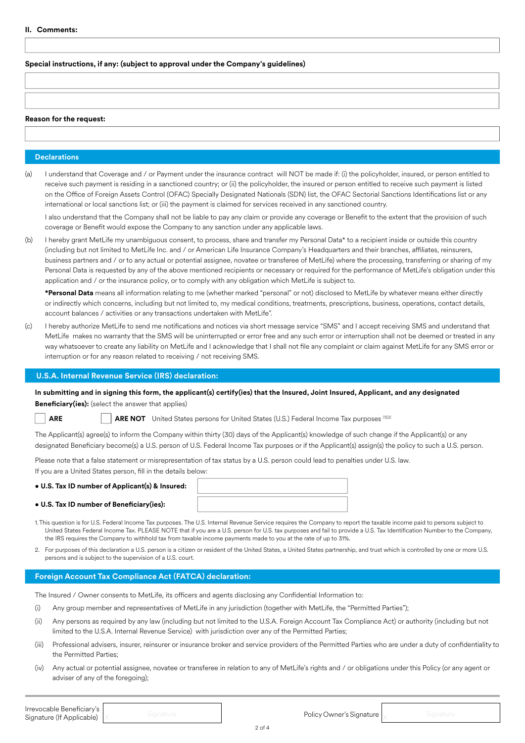## **Special instructions, if any: (subject to approval under the Company's guidelines)**

## **Reason for the request:**

## **Declarations**

(a) I understand that Coverage and / or Payment under the insurance contract will NOT be made if: (i) the policyholder, insured, or person entitled to receive such payment is residing in a sanctioned country; or (ii) the policyholder, the insured or person entitled to receive such payment is listed on the Office of Foreign Assets Control (OFAC) Specially Designated Nationals (SDN) list, the OFAC Sectorial Sanctions Identifications list or any international or local sanctions list; or (iii) the payment is claimed for services received in any sanctioned country.

I also understand that the Company shall not be liable to pay any claim or provide any coverage or Benefit to the extent that the provision of such coverage or Benefit would expose the Company to any sanction under any applicable laws.

(b) I hereby grant MetLife my unambiguous consent, to process, share and transfer my Personal Data\* to a recipient inside or outside this country (including but not limited to MetLife Inc. and / or American Life Insurance Company's Headquarters and their branches, affiliates, reinsurers, business partners and / or to any actual or potential assignee, novatee or transferee of MetLife) where the processing, transferring or sharing of my Personal Data is requested by any of the above mentioned recipients or necessary or required for the performance of MetLife's obligation under this application and / or the insurance policy, or to comply with any obligation which MetLife is subject to.

**\*Personal Data** means all information relating to me (whether marked "personal" or not) disclosed to MetLife by whatever means either directly or indirectly which concerns, including but not limited to, my medical conditions, treatments, prescriptions, business, operations, contact details, account balances / activities or any transactions undertaken with MetLife".

(c) I hereby authorize MetLife to send me notifications and notices via short message service "SMS" and I accept receiving SMS and understand that MetLife makes no warranty that the SMS will be uninterrupted or error free and any such error or interruption shall not be deemed or treated in any way whatsoever to create any liability on MetLife and I acknowledge that I shall not file any complaint or claim against MetLife for any SMS error or interruption or for any reason related to receiving / not receiving SMS.

## **U.S.A. Internal Revenue Service (IRS) declaration:**

**In submitting and in signing this form, the applicant(s) certify(ies) that the Insured, Joint Insured, Applicant, and any designated Beneficiary(ies):** (select the answer that applies)

**ARE ARE ARE NOT** United States persons for United States (U.S.) Federal Income Tax purposes (102)

The Applicant(s) agree(s) to inform the Company within thirty (30) days of the Applicant(s) knowledge of such change if the Applicant(s) or any designated Beneficiary become(s) a U.S. person of U.S. Federal Income Tax purposes or if the Applicant(s) assign(s) the policy to such a U.S. person.

Please note that a false statement or misrepresentation of tax status by a U.S. person could lead to penalties under U.S. law.

If you are a United States person, fill in the details below:

## • **U.S. Tax ID number of Applicant(s) & Insured:**

• **U.S. Tax ID number of Beneficiary(ies):**



- 1.This question is for U.S. Federal Income Tax purposes. The U.S. Internal Revenue Service requires the Company to report the taxable income paid to persons subject to United States Federal Income Tax. PLEASE NOTE that if you are a U.S. person for U.S. tax purposes and fail to provide a U.S. Tax Identification Number to the Company, the IRS requires the Company to withhold tax from taxable income payments made to you at the rate of up to 31%.
- 2. For purposes of this declaration a U.S. person is a citizen or resident of the United States, a United States partnership, and trust which is controlled by one or more U.S. persons and is subject to the supervision of a U.S. court.

## **Foreign Account Tax Compliance Act (FATCA) declaration:**

The Insured / Owner consents to MetLife, its officers and agents disclosing any Confidential Information to:

- (i) Any group member and representatives of MetLife in any jurisdiction (together with MetLife, the "Permitted Parties");
- (ii) Any persons as required by any law (including but not limited to the U.S.A. Foreign Account Tax Compliance Act) or authority (including but not limited to the U.S.A. Internal Revenue Service) with jurisdiction over any of the Permitted Parties;
- (iii) Professional advisers, insurer, reinsurer or insurance broker and service providers of the Permitted Parties who are under a duty of confidentiality to the Permitted Parties;
- (iv) Any actual or potential assignee, novatee or transferee in relation to any of MetLife's rights and / or obligations under this Policy (or any agent or adviser of any of the foregoing);

**Irrevocable Beneficiary's**<br>Signature (If Applicable) x and Signature Intervention of the Irrevocable Intervener's Signature and Signature **Irrevocable Beneficiary's**<br> **Signature (If Applicable)** X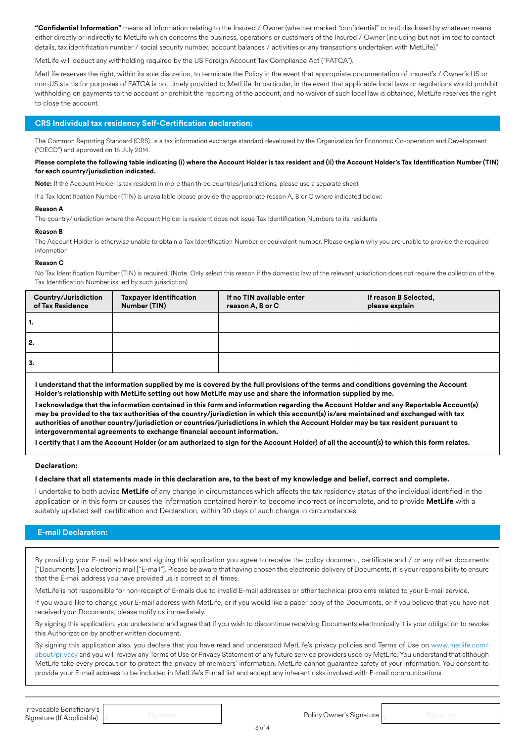**"Confidential Information"** means all information relating to the Insured / Owner (whether marked "confidential" or not) disclosed by whatever means either directly or indirectly to MetLife which concerns the business, operations or customers of the Insured / Owner (including but not limited to contact details, tax identification number / social security number, account balances / activities or any transactions undertaken with MetLife)."

MetLife will deduct any withholding required by the US Foreign Account Tax Compliance Act ("FATCA").

MetLife reserves the right, within its sole discretion, to terminate the Policy in the event that appropriate documentation of Insured's / Owner's US or non-US status for purposes of FATCA is not timely provided to MetLife. In particular, in the event that applicable local laws or regulations would prohibit withholding on payments to the account or prohibit the reporting of the account, and no waiver of such local law is obtained, MetLife reserves the right to close the account.

# **CRS Individual tax residency Self-Certification declaration:**

The Common Reporting Standard (CRS), is a tax information exchange standard developed by the Organization for Economic Co-operation and Development ("OECD") and approved on 15 July 2014.

## **Please complete the following table indicating (i) where the Account Holder is tax resident and (ii) the Account Holder's Tax Identification Number (TIN) for each country/jurisdiction indicated.**

**Note:** If the Account Holder is tax resident in more than three countries/jurisdictions, please use a separate sheet

If a Tax Identification Number (TIN) is unavailable please provide the appropriate reason A, B or C where indicated below:

#### **Reason A**

The country/jurisdiction where the Account Holder is resident does not issue Tax Identification Numbers to its residents

#### **Reason B**

The Account Holder is otherwise unable to obtain a Tax Identification Number or equivalent number, Please explain why you are unable to provide the required information

#### **Reason C**

No Tax Identification Number (TIN) is required. (Note, Only select this reason if the domestic law of the relevant jurisdiction does not require the collection of the Tax Identification Number issued by such jurisdiction)

| Country/Jurisdiction<br>of Tax Residence | <b>Taxpayer Identification</b><br>Number (TIN) | If no TIN available enter<br>reason A, B or C | If reason B Selected,<br>please explain |
|------------------------------------------|------------------------------------------------|-----------------------------------------------|-----------------------------------------|
| 1.                                       |                                                |                                               |                                         |
| 2.                                       |                                                |                                               |                                         |
| 3.                                       |                                                |                                               |                                         |

**I understand that the information supplied by me is covered by the full provisions of the terms and conditions governing the Account Holder's relationship with MetLife setting out how MetLife may use and share the information supplied by me.** 

**I acknowledge that the information contained in this form and information regarding the Account Holder and any Reportable Account(s) may be provided to the tax authorities of the country/jurisdiction in which this account(s) is/are maintained and exchanged with tax authorities of another country/jurisdiction or countries/jurisdictions in which the Account Holder may be tax resident pursuant to intergovernmental agreements to exchange financial account information.** 

**I certify that I am the Account Holder (or am authorized to sign for the Account Holder) of all the account(s) to which this form relates.** 

## **Declaration:**

#### **I declare that all statements made in this declaration are, to the best of my knowledge and belief, correct and complete.**

I undertake to both advise **MetLife** of any change in circumstances which affects the tax residency status of the individual identified in the application or in this form or causes the information contained herein to become incorrect or incomplete, and to provide **MetLife** with a suitably updated self-certification and Declaration, within 90 days of such change in circumstances.

## **E-mail Declaration:**

By providing your E-mail address and signing this application you agree to receive the policy document, certificate and / or any other documents ["Documents"] via electronic mail ["E-mail"]. Please be aware that having chosen this electronic delivery of Documents, it is your responsibility to ensure that the E-mail address you have provided us is correct at all times.

MetLife is not responsible for non-receipt of E-mails due to invalid E-mail addresses or other technical problems related to your E-mail service.

If you would like to change your E-mail address with MetLife, or if you would like a paper copy of the Documents, or if you believe that you have not received your Documents, please notify us immediately.

By signing this application, you understand and agree that if you wish to discontinue receiving Documents electronically it is your obligation to revoke this Authorization by another written document.

By signing this application also, you declare that you have read and understood MetLife's privacy policies and Terms of Use on www.metlife.com/ about/privacy and you will review any Terms of Use or Privacy Statement of any future service providers used by MetLife. You understand that although MetLife take every precaution to protect the privacy of members' information, MetLife cannot guarantee safety of your information. You consent to provide your E-mail address to be included in MetLife's E-mail list and accept any inherent risks involved with E-mail communications.